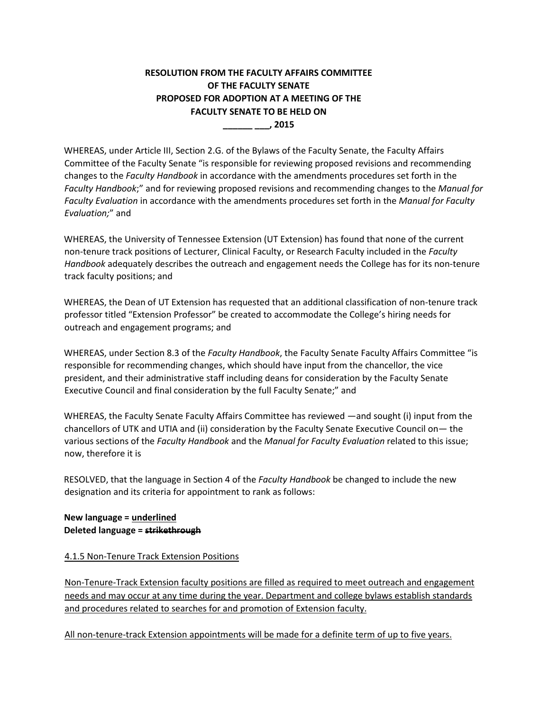# **RESOLUTION FROM THE FACULTY AFFAIRS COMMITTEE OF THE FACULTY SENATE PROPOSED FOR ADOPTION AT A MEETING OF THE FACULTY SENATE TO BE HELD ON \_\_\_\_\_\_ \_\_\_, 2015**

WHEREAS, under Article III, Section 2.G. of the Bylaws of the Faculty Senate, the Faculty Affairs Committee of the Faculty Senate "is responsible for reviewing proposed revisions and recommending changes to the *Faculty Handbook* in accordance with the amendments procedures set forth in the *Faculty Handbook*;" and for reviewing proposed revisions and recommending changes to the *Manual for Faculty Evaluation* in accordance with the amendments procedures set forth in the *Manual for Faculty Evaluation;*" and

WHEREAS, the University of Tennessee Extension (UT Extension) has found that none of the current non‐tenure track positions of Lecturer, Clinical Faculty, or Research Faculty included in the *Faculty Handbook* adequately describes the outreach and engagement needs the College has for its non‐tenure track faculty positions; and

WHEREAS, the Dean of UT Extension has requested that an additional classification of non-tenure track professor titled "Extension Professor" be created to accommodate the College's hiring needs for outreach and engagement programs; and

WHEREAS, under Section 8.3 of the *Faculty Handbook*, the Faculty Senate Faculty Affairs Committee "is responsible for recommending changes, which should have input from the chancellor, the vice president, and their administrative staff including deans for consideration by the Faculty Senate Executive Council and final consideration by the full Faculty Senate;" and

WHEREAS, the Faculty Senate Faculty Affairs Committee has reviewed —and sought (i) input from the chancellors of UTK and UTIA and (ii) consideration by the Faculty Senate Executive Council on— the various sections of the *Faculty Handbook* and the *Manual for Faculty Evaluation* related to this issue; now, therefore it is

RESOLVED, that the language in Section 4 of the *Faculty Handbook* be changed to include the new designation and its criteria for appointment to rank as follows:

## **New language = underlined Deleted language = strikethrough**

## 4.1.5 Non-Tenure Track Extension Positions

Non-Tenure-Track Extension faculty positions are filled as required to meet outreach and engagement needs and may occur at any time during the year. Department and college bylaws establish standards and procedures related to searches for and promotion of Extension faculty.

All non-tenure-track Extension appointments will be made for a definite term of up to five years.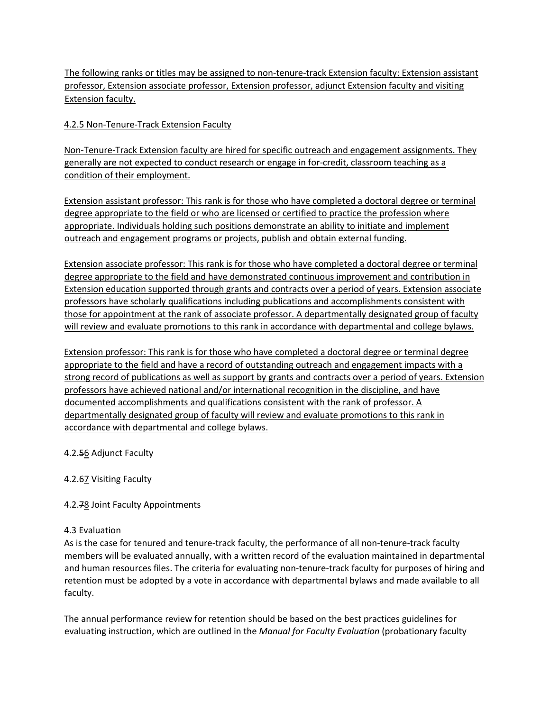The following ranks or titles may be assigned to non-tenure-track Extension faculty: Extension assistant professor, Extension associate professor, Extension professor, adjunct Extension faculty and visiting Extension faculty.

4.2.5 Non-Tenure-Track Extension Faculty

Non-Tenure-Track Extension faculty are hired for specific outreach and engagement assignments. They generally are not expected to conduct research or engage in for-credit, classroom teaching as a condition of their employment.

Extension assistant professor: This rank is for those who have completed a doctoral degree or terminal degree appropriate to the field or who are licensed or certified to practice the profession where appropriate. Individuals holding such positions demonstrate an ability to initiate and implement outreach and engagement programs or projects, publish and obtain external funding.

Extension associate professor: This rank is for those who have completed a doctoral degree or terminal degree appropriate to the field and have demonstrated continuous improvement and contribution in Extension education supported through grants and contracts over a period of years. Extension associate professors have scholarly qualifications including publications and accomplishments consistent with those for appointment at the rank of associate professor. A departmentally designated group of faculty will review and evaluate promotions to this rank in accordance with departmental and college bylaws.

Extension professor: This rank is for those who have completed a doctoral degree or terminal degree appropriate to the field and have a record of outstanding outreach and engagement impacts with a strong record of publications as well as support by grants and contracts over a period of years. Extension professors have achieved national and/or international recognition in the discipline, and have documented accomplishments and qualifications consistent with the rank of professor. A departmentally designated group of faculty will review and evaluate promotions to this rank in accordance with departmental and college bylaws.

## 4.2.56 Adjunct Faculty

## 4.2.67 Visiting Faculty

## 4.2.78 Joint Faculty Appointments

### 4.3 Evaluation

As is the case for tenured and tenure-track faculty, the performance of all non-tenure-track faculty members will be evaluated annually, with a written record of the evaluation maintained in departmental and human resources files. The criteria for evaluating non-tenure-track faculty for purposes of hiring and retention must be adopted by a vote in accordance with departmental bylaws and made available to all faculty.

The annual performance review for retention should be based on the best practices guidelines for evaluating instruction, which are outlined in the *Manual for Faculty Evaluation* (probationary faculty